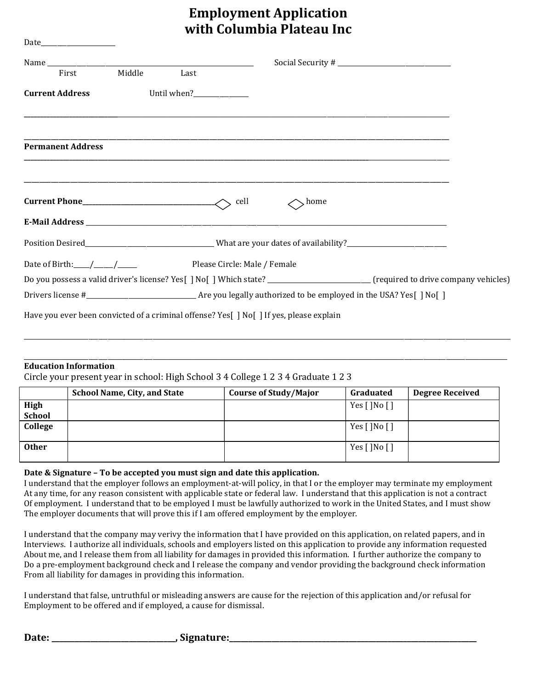## Employment Application with Columbia Plateau Inc

| First                    | Middle | Last                    |                                                                                                                                    |  |
|--------------------------|--------|-------------------------|------------------------------------------------------------------------------------------------------------------------------------|--|
| <b>Current Address</b>   |        | Until when?____________ |                                                                                                                                    |  |
| <b>Permanent Address</b> |        |                         |                                                                                                                                    |  |
| $Current Phone$ [2004]   |        |                         | cell<br>, home                                                                                                                     |  |
|                          |        |                         |                                                                                                                                    |  |
|                          |        |                         | Position Desired__________________________________What are your dates of availability?________________________                     |  |
|                          |        |                         |                                                                                                                                    |  |
|                          |        |                         | Do you possess a valid driver's license? Yes[ ] No[ ] Which state? __________________________ (required to drive company vehicles) |  |
|                          |        |                         |                                                                                                                                    |  |
|                          |        |                         | Have you ever been convicted of a criminal offense? Yes[ ] No[ ] If yes, please explain                                            |  |

## Education Information

Circle your present year in school: High School 3 4 College 1 2 3 4 Graduate 1 2 3

|              | <b>School Name, City, and State</b> | <b>Course of Study/Major</b> | Graduated                                          | <b>Degree Received</b> |
|--------------|-------------------------------------|------------------------------|----------------------------------------------------|------------------------|
| High         |                                     |                              | Yes $\lceil \cdot \rceil$ No $\lceil \cdot \rceil$ |                        |
| School       |                                     |                              |                                                    |                        |
| College      |                                     |                              | Yes $\lceil \cdot \rceil$ No $\lceil \cdot \rceil$ |                        |
|              |                                     |                              |                                                    |                        |
| <b>Other</b> |                                     |                              | Yes $\lceil \cdot \rceil$ No $\lceil \cdot \rceil$ |                        |
|              |                                     |                              |                                                    |                        |

\_\_\_\_\_\_\_\_\_\_\_\_\_\_\_\_\_\_\_\_\_\_\_\_\_\_\_\_\_\_\_\_\_\_\_\_\_\_\_\_\_\_\_\_\_\_\_\_\_\_\_\_\_\_\_\_\_\_\_\_\_\_\_\_\_\_\_\_\_\_\_\_\_\_\_\_\_\_\_\_\_\_\_\_\_\_\_\_\_\_\_\_\_\_\_\_\_\_\_\_\_\_\_\_\_\_\_\_\_\_\_\_\_\_\_\_\_\_\_\_\_\_\_\_\_\_\_\_\_\_\_\_\_\_\_\_\_\_\_\_\_\_\_\_\_\_\_\_\_\_\_

\_\_\_\_\_\_\_\_\_\_\_\_\_\_\_\_\_\_\_\_\_\_\_\_\_\_\_\_\_\_\_\_\_\_\_\_\_\_\_\_\_\_\_\_\_\_\_\_\_\_\_\_\_\_\_\_\_\_\_\_\_\_\_\_\_\_\_\_\_\_\_\_\_\_\_\_\_\_\_\_\_\_\_\_\_\_\_\_\_\_\_\_\_\_\_\_\_\_\_\_\_\_\_\_\_\_\_\_\_\_\_\_\_\_\_\_\_\_\_\_\_\_\_\_\_\_\_\_\_\_\_\_\_\_\_\_\_\_\_\_\_\_\_\_\_\_\_\_\_\_

## Date & Signature – To be accepted you must sign and date this application.

I understand that the employer follows an employment-at-will policy, in that I or the employer may terminate my employment At any time, for any reason consistent with applicable state or federal law. I understand that this application is not a contract Of employment. I understand that to be employed I must be lawfully authorized to work in the United States, and I must show The employer documents that will prove this if I am offered employment by the employer.

I understand that the company may verivy the information that I have provided on this application, on related papers, and in Interviews. I authorize all individuals, schools and employers listed on this application to provide any information requested About me, and I release them from all liability for damages in provided this information. I further authorize the company to Do a pre-employment background check and I release the company and vendor providing the background check information From all liability for damages in providing this information.

I understand that false, untruthful or misleading answers are cause for the rejection of this application and/or refusal for Employment to be offered and if employed, a cause for dismissal.

Date: \_\_\_\_\_\_\_\_\_\_\_\_\_\_\_\_\_\_\_\_\_\_\_\_\_\_\_\_\_\_\_\_, Signature:\_\_\_\_\_\_\_\_\_\_\_\_\_\_\_\_\_\_\_\_\_\_\_\_\_\_\_\_\_\_\_\_\_\_\_\_\_\_\_\_\_\_\_\_\_\_\_\_\_\_\_\_\_\_\_\_\_\_\_\_\_\_\_\_